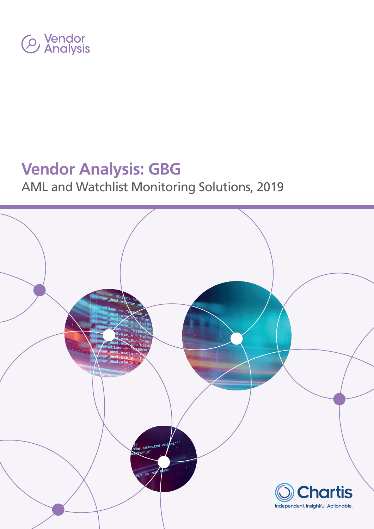

# **Vendor Analysis: GBG**

# AML and Watchlist Monitoring Solutions, 2019

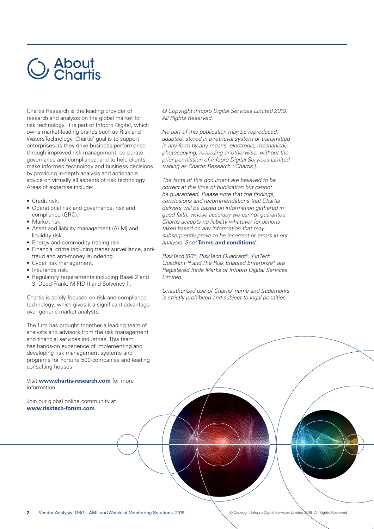# Sue About<br>Sue Chartis

Chartis Research is the leading provider of research and analysis on the global market for risk technology. It is part of Infopro Digital, which owns market-leading brands such as Risk and WatersTechnology. Chartis' goal is to support enterprises as they drive business performance through improved risk management, corporate governance and compliance, and to help clients make informed technology and business decisions by providing in-depth analysis and actionable advice on virtually all aspects of risk technology. Areas of expertise include:

- Credit risk.
- Operational risk and governance, risk and compliance (GRC).
- Market risk.
- Asset and liability management (ALM) and liquidity risk.
- Energy and commodity trading risk.
- Financial crime including trader surveillance, antifraud and anti-money laundering.
- Cyber risk management.
- Insurance risk.
- Regulatory requirements including Basel 2 and 3, Dodd-Frank, MiFID II and Solvency II.

Chartis is solely focused on risk and compliance technology, which gives it a significant advantage over generic market analysts.

The firm has brought together a leading team of analysts and advisors from the risk management and financial services industries. This team has hands-on experience of implementing and developing risk management systems and programs for Fortune 500 companies and leading consulting houses.

Visit **www.chartis-research.com** for more information.

Join our global online community at **www.risktech-forum.com**.

© Copyright Infopro Digital Services Limited 2019. All Rights Reserved.

No part of this publication may be reproduced, adapted, stored in a retrieval system or transmitted in any form by any means, electronic, mechanical, photocopying, recording or otherwise, without the prior permission of Infopro Digital Services Limited trading as Chartis Research ('Chartis').

The facts of this document are believed to be correct at the time of publication but cannot be guaranteed. Please note that the findings, conclusions and recommendations that Chartis delivers will be based on information gathered in good faith, whose accuracy we cannot guarantee. Chartis accepts no liability whatever for actions taken based on any information that may subsequently prove to be incorrect or errors in our analysis. See **'[Terms and conditions'](https://www.infopro-digital.com/terms-conditions/research-and-marketing-services/?lang=en)**.

RiskTech100®, RiskTech Quadrant®, FinTech Quadrant™ and The Risk Enabled Enterprise® are Registered Trade Marks of Infopro Digital Services Limited.

Unauthorized use of Chartis' name and trademarks is strictly prohibited and subject to legal penalties.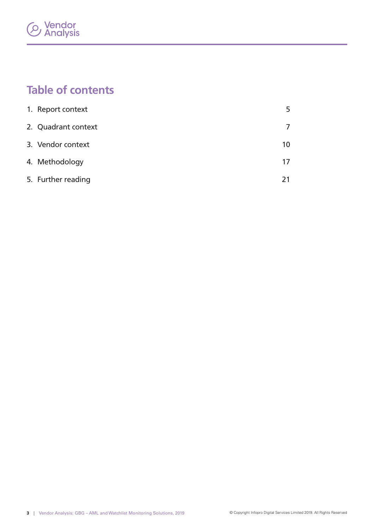# *C* Vendor<br>*C* Analysis

# **Table of contents**

| 1. Report context   | 5  |
|---------------------|----|
| 2. Quadrant context | 7  |
| 3. Vendor context   | 10 |
| 4. Methodology      | 17 |
| 5. Further reading  |    |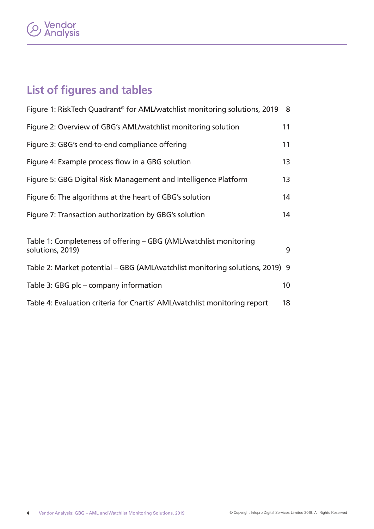# **Vendor<br>Analysis**

# **List of figures and tables**

| Figure 1: RiskTech Quadrant <sup>®</sup> for AML/watchlist monitoring solutions, 2019      | 8               |  |
|--------------------------------------------------------------------------------------------|-----------------|--|
| Figure 2: Overview of GBG's AML/watchlist monitoring solution                              | 11              |  |
| Figure 3: GBG's end-to-end compliance offering                                             | 11              |  |
| Figure 4: Example process flow in a GBG solution                                           | 13              |  |
| Figure 5: GBG Digital Risk Management and Intelligence Platform                            | 13              |  |
| Figure 6: The algorithms at the heart of GBG's solution                                    | 14              |  |
| Figure 7: Transaction authorization by GBG's solution                                      | 14              |  |
| Table 1: Completeness of offering – GBG (AML/watchlist monitoring<br>9<br>solutions, 2019) |                 |  |
| Table 2: Market potential – GBG (AML/watchlist monitoring solutions, 2019) 9               |                 |  |
| Table 3: GBG plc - company information                                                     | 10 <sup>°</sup> |  |
| Table 4: Evaluation criteria for Chartis' AML/watchlist monitoring report                  | 18              |  |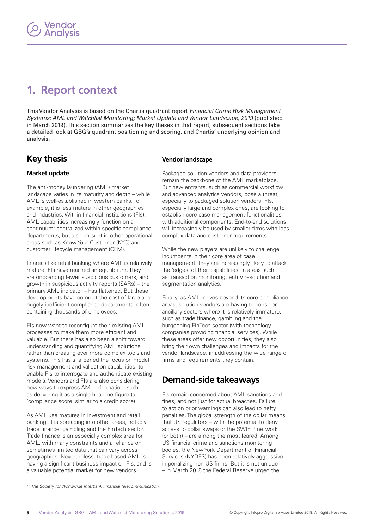# <span id="page-4-0"></span>**1. Report context**

This Vendor Analysis is based on the Chartis quadrant report Financial Crime Risk Management Systems: AML and Watchlist Monitoring; Market Update and Vendor Landscape, 2019 (published in March 2019). This section summarizes the key theses in that report; subsequent sections take a detailed look at GBG's quadrant positioning and scoring, and Chartis' underlying opinion and analysis.

### **Key thesis**

#### **Market update**

The anti-money laundering (AML) market landscape varies in its maturity and depth – while AML is well-established in western banks, for example, it is less mature in other geographies and industries. Within financial institutions (FIs), AML capabilities increasingly function on a continuum: centralized within specific compliance departments, but also present in other operational areas such as Know Your Customer (KYC) and customer lifecycle management (CLM).

In areas like retail banking where AML is relatively mature, FIs have reached an equilibrium. They are onboarding fewer suspicious customers, and growth in suspicious activity reports (SARs) – the primary AML indicator – has flattened. But these developments have come at the cost of large and hugely inefficient compliance departments, often containing thousands of employees.

FIs now want to reconfigure their existing AML processes to make them more efficient and valuable. But there has also been a shift toward understanding and quantifying AML solutions, rather than creating ever more complex tools and systems. This has sharpened the focus on model risk management and validation capabilities, to enable FIs to interrogate and authenticate existing models. Vendors and FIs are also considering new ways to express AML information, such as delivering it as a single headline figure (a 'compliance score' similar to a credit score).

As AML use matures in investment and retail banking, it is spreading into other areas, notably trade finance, gambling and the FinTech sector. Trade finance is an especially complex area for AML, with many constraints and a reliance on sometimes limited data that can vary across geographies. Nevertheless, trade-based AML is having a significant business impact on FIs, and is a valuable potential market for new vendors.

#### **Vendor landscape**

Packaged solution vendors and data providers remain the backbone of the AML marketplace. But new entrants, such as commercial workflow and advanced analytics vendors, pose a threat, especially to packaged solution vendors. FIs, especially large and complex ones, are looking to establish core case management functionalities with additional components. End-to-end solutions will increasingly be used by smaller firms with less complex data and customer requirements.

While the new players are unlikely to challenge incumbents in their core area of case management, they are increasingly likely to attack the 'edges' of their capabilities, in areas such as transaction monitoring, entity resolution and segmentation analytics.

Finally, as AML moves beyond its core compliance areas, solution vendors are having to consider ancillary sectors where it is relatively immature, such as trade finance, gambling and the burgeoning FinTech sector (with technology companies providing financial services). While these areas offer new opportunities, they also bring their own challenges and impacts for the vendor landscape, in addressing the wide range of firms and requirements they contain.

## **Demand-side takeaways**

FIs remain concerned about AML sanctions and fines, and not just for actual breaches. Failure to act on prior warnings can also lead to hefty penalties. The global strength of the dollar means that US regulators – with the potential to deny access to dollar swaps or the SWIFT<sup>1</sup> network (or both) – are among the most feared. Among US financial crime and sanctions monitoring bodies, the New York Department of Financial Services (NYDFS) has been relatively aggressive in penalizing non-US firms. But it is not unique – in March 2018 the Federal Reserve urged the

<sup>&</sup>lt;sup>1</sup> The Society for Worldwide Interbank Financial Telecommunication.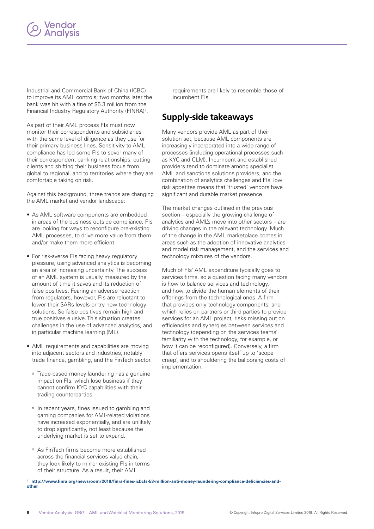Industrial and Commercial Bank of China (ICBC) to improve its AML controls; two months later the bank was hit with a fine of \$5.3 million from the Financial Industry Regulatory Authority (FINRA)<sup>2</sup>.

As part of their AML process FIs must now monitor their correspondents and subsidiaries with the same level of diligence as they use for their primary business lines. Sensitivity to AML compliance has led some FIs to sever many of their correspondent banking relationships, cutting clients and shifting their business focus from global to regional, and to territories where they are comfortable taking on risk.

Against this background, three trends are changing the AML market and vendor landscape:

- As AML software components are embedded in areas of the business outside compliance, FIs are looking for ways to reconfigure pre-existing AML processes, to drive more value from them and/or make them more efficient.
- For risk-averse FIs facing heavy regulatory pressure, using advanced analytics is becoming an area of increasing uncertainty. The success of an AML system is usually measured by the amount of time it saves and its reduction of false positives. Fearing an adverse reaction from regulators, however, FIs are reluctant to lower their SARs levels or try new technology solutions. So false positives remain high and true positives elusive. This situation creates challenges in the use of advanced analytics, and in particular machine learning (ML).
- AML requirements and capabilities are moving into adjacent sectors and industries, notably trade finance, gambling, and the FinTech sector.
	- <sup>o</sup> Trade-based money laundering has a genuine impact on FIs, which lose business if they cannot confirm KYC capabilities with their trading counterparties.
	- <sup>o</sup> In recent years, fines issued to gambling and gaming companies for AML-related violations have increased exponentially, and are unlikely to drop significantly, not least because the underlying market is set to expand.
	- <sup>o</sup> As FinTech firms become more established across the financial services value chain, they look likely to mirror existing FIs in terms of their structure. As a result, their AML

requirements are likely to resemble those of incumbent FIs.

## **Supply-side takeaways**

Many vendors provide AML as part of their solution set, because AML components are increasingly incorporated into a wide range of processes (including operational processes such as KYC and CLM). Incumbent and established providers tend to dominate among specialist AML and sanctions solutions providers, and the combination of analytics challenges and FIs' low risk appetites means that 'trusted' vendors have significant and durable market presence.

The market changes outlined in the previous section – especially the growing challenge of analytics and AML's move into other sectors – are driving changes in the relevant technology. Much of the change in the AML marketplace comes in areas such as the adoption of innovative analytics and model risk management, and the services and technology mixtures of the vendors.

Much of FIs' AML expenditure typically goes to services firms, so a question facing many vendors is how to balance services and technology, and how to divide the human elements of their offerings from the technological ones. A firm that provides only technology components, and which relies on partners or third parties to provide services for an AML project, risks missing out on efficiencies and synergies between services and technology (depending on the services teams' familiarity with the technology, for example, or how it can be reconfigured). Conversely, a firm that offers services opens itself up to 'scope creep', and to shouldering the ballooning costs of implementation.

<sup>2</sup> **[http://www.finra.org/newsroom/2018/finra-fines-icbcfs-53-million-anti-money-laundering-compliance-deficiencies-and](http://www.finra.org/newsroom/2018/finra-fines-icbcfs-53-million-anti-money-laundering-compliance-deficiencies-and-other)[other](http://www.finra.org/newsroom/2018/finra-fines-icbcfs-53-million-anti-money-laundering-compliance-deficiencies-and-other)**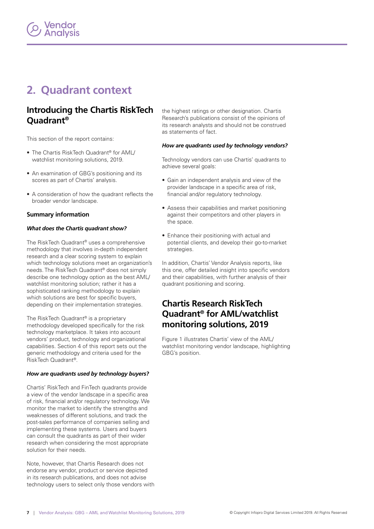# <span id="page-6-0"></span>**2. Quadrant context**

### **Introducing the Chartis RiskTech Quadrant®**

This section of the report contains:

- The Chartis RiskTech Quadrant® for AML/ watchlist monitoring solutions, 2019.
- An examination of GBG's positioning and its scores as part of Chartis' analysis.
- A consideration of how the quadrant reflects the broader vendor landscape.

#### **Summary information**

#### *What does the Chartis quadrant show?*

The RiskTech Quadrant® uses a comprehensive methodology that involves in-depth independent research and a clear scoring system to explain which technology solutions meet an organization's needs. The RiskTech Quadrant® does not simply describe one technology option as the best AML/ watchlist monitoring solution; rather it has a sophisticated ranking methodology to explain which solutions are best for specific buyers, depending on their implementation strategies.

The RiskTech Quadrant® is a proprietary methodology developed specifically for the risk technology marketplace. It takes into account vendors' product, technology and organizational capabilities. Section 4 of this report sets out the generic methodology and criteria used for the RiskTech Quadrant®.

#### *How are quadrants used by technology buyers?*

Chartis' RiskTech and FinTech quadrants provide a view of the vendor landscape in a specific area of risk, financial and/or regulatory technology. We monitor the market to identify the strengths and weaknesses of different solutions, and track the post-sales performance of companies selling and implementing these systems. Users and buyers can consult the quadrants as part of their wider research when considering the most appropriate solution for their needs.

Note, however, that Chartis Research does not endorse any vendor, product or service depicted in its research publications, and does not advise technology users to select only those vendors with

the highest ratings or other designation. Chartis Research's publications consist of the opinions of its research analysts and should not be construed as statements of fact.

#### *How are quadrants used by technology vendors?*

Technology vendors can use Chartis' quadrants to achieve several goals:

- Gain an independent analysis and view of the provider landscape in a specific area of risk, financial and/or regulatory technology.
- Assess their capabilities and market positioning against their competitors and other players in the space.
- Enhance their positioning with actual and potential clients, and develop their go-to-market strategies.

In addition, Chartis' Vendor Analysis reports, like this one, offer detailed insight into specific vendors and their capabilities, with further analysis of their quadrant positioning and scoring.

## **Chartis Research RiskTech Quadrant® for AML/watchlist monitoring solutions, 2019**

Figure 1 illustrates Chartis' view of the AML/ watchlist monitoring vendor landscape, highlighting GBG's position.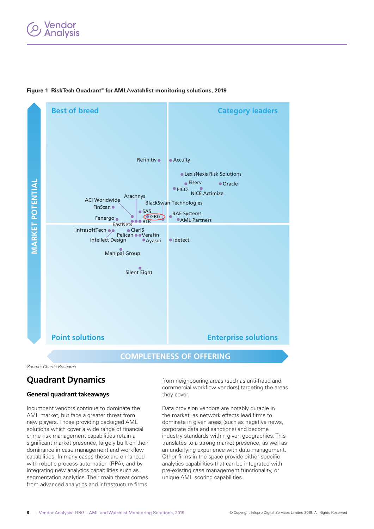### <span id="page-7-0"></span>/endor nalysis





**COMPLETENESS OF OFFERING**

Source: Chartis Research

## **Quadrant Dynamics**

#### **General quadrant takeaways**

Incumbent vendors continue to dominate the AML market, but face a greater threat from new players. Those providing packaged AML solutions which cover a wide range of financial crime risk management capabilities retain a significant market presence, largely built on their dominance in case management and workflow capabilities. In many cases these are enhanced with robotic process automation (RPA), and by integrating new analytics capabilities such as segmentation analytics. Their main threat comes from advanced analytics and infrastructure firms

from neighbouring areas (such as anti-fraud and commercial workflow vendors) targeting the areas they cover.

Data provision vendors are notably durable in the market, as network effects lead firms to dominate in given areas (such as negative news, corporate data and sanctions) and become industry standards within given geographies. This translates to a strong market presence, as well as an underlying experience with data management. Other firms in the space provide either specific analytics capabilities that can be integrated with pre-existing case management functionality, or unique AML scoring capabilities.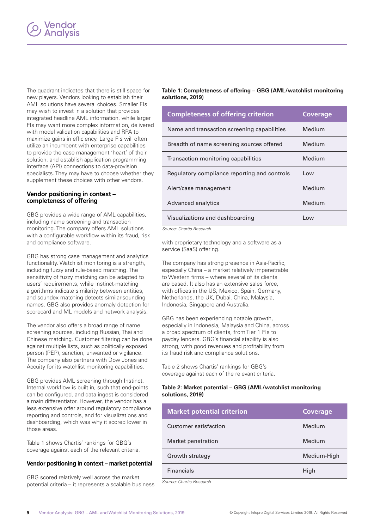<span id="page-8-0"></span>The quadrant indicates that there is still space for new players. Vendors looking to establish their AML solutions have several choices. Smaller FIs may wish to invest in a solution that provides integrated headline AML information, while larger FIs may want more complex information, delivered with model validation capabilities and RPA to maximize gains in efficiency. Large FIs will often utilize an incumbent with enterprise capabilities to provide the case management 'heart' of their solution, and establish application programming interface (API) connections to data-provision specialists. They may have to choose whether they supplement these choices with other vendors.

#### **Vendor positioning in context – completeness of offering**

GBG provides a wide range of AML capabilities, including name screening and transaction monitoring. The company offers AML solutions with a configurable workflow within its fraud, risk and compliance software.

GBG has strong case management and analytics functionality. Watchlist monitoring is a strength, including fuzzy and rule-based matching. The sensitivity of fuzzy matching can be adapted to users' requirements, while Instinct-matching algorithms indicate similarity between entities, and soundex matching detects similar-sounding names. GBG also provides anomaly detection for scorecard and ML models and network analysis.

The vendor also offers a broad range of name screening sources, including Russian, Thai and Chinese matching. Customer filtering can be done against multiple lists, such as politically exposed person (PEP), sanction, unwanted or vigilance. The company also partners with Dow Jones and Accuity for its watchlist monitoring capabilities.

GBG provides AML screening through Instinct. Internal workflow is built in, such that end-points can be configured, and data ingest is considered a main differentiator. However, the vendor has a less extensive offer around regulatory compliance reporting and controls, and for visualizations and dashboarding, which was why it scored lower in those areas.

Table 1 shows Chartis' rankings for GBG's coverage against each of the relevant criteria.

#### **Vendor positioning in context – market potential**

GBG scored relatively well across the market potential criteria – it represents a scalable business

#### **Table 1: Completeness of offering – GBG (AML/watchlist monitoring solutions, 2019)**

| <b>Completeness of offering criterion</b>    | Coverage |
|----------------------------------------------|----------|
| Name and transaction screening capabilities  | Medium   |
| Breadth of name screening sources offered    | Medium   |
| Transaction monitoring capabilities          | Medium   |
| Regulatory compliance reporting and controls | Low      |
| Alert/case management                        | Medium   |
| Advanced analytics                           | Medium   |
| Visualizations and dashboarding              | Low      |

Source: Chartis Research

with proprietary technology and a software as a service (SaaS) offering.

The company has strong presence in Asia-Pacific, especially China – a market relatively impenetrable to Western firms – where several of its clients are based. It also has an extensive sales force, with offices in the US, Mexico, Spain, Germany, Netherlands, the UK, Dubai, China, Malaysia, Indonesia, Singapore and Australia.

GBG has been experiencing notable growth, especially in Indonesia, Malaysia and China, across a broad spectrum of clients, from Tier 1 FIs to payday lenders. GBG's financial stability is also strong, with good revenues and profitability from its fraud risk and compliance solutions.

Table 2 shows Chartis' rankings for GBG's coverage against each of the relevant criteria.

#### **Table 2: Market potential – GBG (AML/watchlist monitoring solutions, 2019)**

| <b>Market potential criterion</b> | Coverage    |
|-----------------------------------|-------------|
| Customer satisfaction             | Medium      |
| Market penetration                | Medium      |
| Growth strategy                   | Medium-High |
| <b>Financials</b>                 | High        |

Source: Chartis Research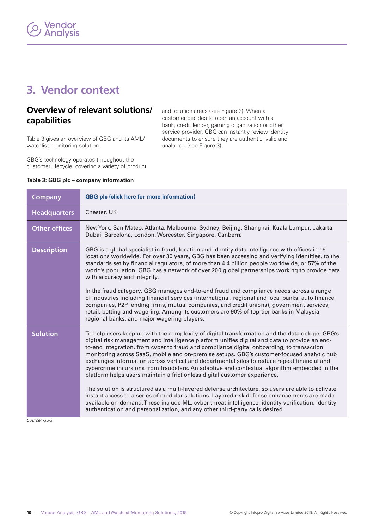# <span id="page-9-0"></span>**3. Vendor context**

## **Overview of relevant solutions/ capabilities**

Table 3 gives an overview of GBG and its AML/ watchlist monitoring solution.

GBG's technology operates throughout the customer lifecycle, covering a variety of product and solution areas (see Figure 2). When a customer decides to open an account with a bank, credit lender, gaming organization or other service provider, GBG can instantly review identity documents to ensure they are authentic, valid and unaltered (see Figure 3).

| <b>Company</b>       | <b>GBG plc (click here for more information)</b>                                                                                                                                                                                                                                                                                                                                                                                                                                                                                                                                                                                                                                                                                   |  |
|----------------------|------------------------------------------------------------------------------------------------------------------------------------------------------------------------------------------------------------------------------------------------------------------------------------------------------------------------------------------------------------------------------------------------------------------------------------------------------------------------------------------------------------------------------------------------------------------------------------------------------------------------------------------------------------------------------------------------------------------------------------|--|
| <b>Headquarters</b>  | Chester, UK                                                                                                                                                                                                                                                                                                                                                                                                                                                                                                                                                                                                                                                                                                                        |  |
| <b>Other offices</b> | New York, San Mateo, Atlanta, Melbourne, Sydney, Beijing, Shanghai, Kuala Lumpur, Jakarta,<br>Dubai, Barcelona, London, Worcester, Singapore, Canberra                                                                                                                                                                                                                                                                                                                                                                                                                                                                                                                                                                             |  |
| <b>Description</b>   | GBG is a global specialist in fraud, location and identity data intelligence with offices in 16<br>locations worldwide. For over 30 years, GBG has been accessing and verifying identities, to the<br>standards set by financial regulators, of more than 4.4 billion people worldwide, or 57% of the<br>world's population. GBG has a network of over 200 global partnerships working to provide data<br>with accuracy and integrity.<br>In the fraud category, GBG manages end-to-end fraud and compliance needs across a range<br>of industries including financial services (international, regional and local banks, auto finance<br>companies, P2P lending firms, mutual companies, and credit unions), government services, |  |
|                      | retail, betting and wagering. Among its customers are 90% of top-tier banks in Malaysia,<br>regional banks, and major wagering players.                                                                                                                                                                                                                                                                                                                                                                                                                                                                                                                                                                                            |  |
| <b>Solution</b>      | To help users keep up with the complexity of digital transformation and the data deluge, GBG's<br>digital risk management and intelligence platform unifies digital and data to provide an end-<br>to-end integration, from cyber to fraud and compliance digital onboarding, to transaction<br>monitoring across SaaS, mobile and on-premise setups. GBG's customer-focused analytic hub<br>exchanges information across vertical and departmental silos to reduce repeat financial and<br>cybercrime incursions from fraudsters. An adaptive and contextual algorithm embedded in the<br>platform helps users maintain a frictionless digital customer experience.                                                               |  |
|                      | The solution is structured as a multi-layered defense architecture, so users are able to activate<br>instant access to a series of modular solutions. Layered risk defense enhancements are made<br>available on-demand. These include ML, cyber threat intelligence, identity verification, identity<br>authentication and personalization, and any other third-party calls desired.                                                                                                                                                                                                                                                                                                                                              |  |

#### **Table 3: GBG plc – company information**

Source: GBG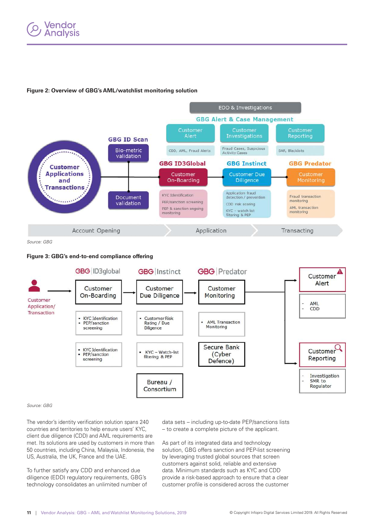#### <span id="page-10-0"></span>**Figure 2: Overview of GBG's AML/watchlist monitoring solution**



Source: GBG

#### **Figure 3: GBG's end-to-end compliance offering**



#### Source: GBG

The vendor's identity verification solution spans 240 countries and territories to help ensure users' KYC, client due diligence (CDD) and AML requirements are met. Its solutions are used by customers in more than 50 countries, including China, Malaysia, Indonesia, the US, Australia, the UK, France and the UAE.

To further satisfy any CDD and enhanced due diligence (EDD) regulatory requirements, GBG's technology consolidates an unlimited number of

data sets – including up-to-date PEP/sanctions lists – to create a complete picture of the applicant.

As part of its integrated data and technology solution, GBG offers sanction and PEP-list screening by leveraging trusted global sources that screen customers against solid, reliable and extensive data. Minimum standards such as KYC and CDD provide a risk-based approach to ensure that a clear customer profile is considered across the customer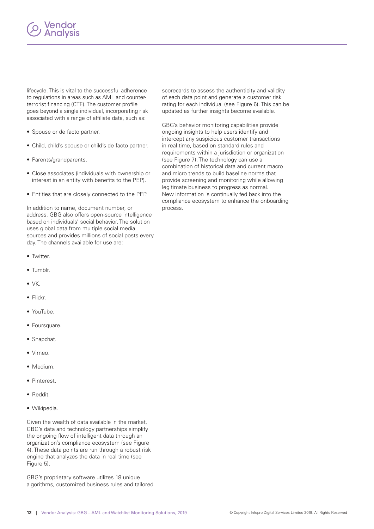

lifecycle. This is vital to the successful adherence to regulations in areas such as AML and counterterrorist financing (CTF). The customer profile goes beyond a single individual, incorporating risk associated with a range of affiliate data, such as:

- Spouse or de facto partner.
- Child, child's spouse or child's de facto partner.
- Parents/grandparents.
- Close associates (individuals with ownership or interest in an entity with benefits to the PEP).
- Entities that are closely connected to the PEP.

In addition to name, document number, or address, GBG also offers open-source intelligence based on individuals' social behavior. The solution uses global data from multiple social media sources and provides millions of social posts every day. The channels available for use are:

- Twitter.
- Tumblr.
- VK.
- Flickr.
- YouTube.
- Foursquare.
- Snapchat.
- Vimeo.
- Medium.
- Pinterest.
- Reddit.
- Wikipedia.

Given the wealth of data available in the market, GBG's data and technology partnerships simplify the ongoing flow of intelligent data through an organization's compliance ecosystem (see Figure 4). These data points are run through a robust risk engine that analyzes the data in real time (see Figure 5).

GBG's proprietary software utilizes 18 unique algorithms, customized business rules and tailored

scorecards to assess the authenticity and validity of each data point and generate a customer risk rating for each individual (see Figure 6). This can be updated as further insights become available.

GBG's behavior monitoring capabilities provide ongoing insights to help users identify and intercept any suspicious customer transactions in real time, based on standard rules and requirements within a jurisdiction or organization (see Figure 7). The technology can use a combination of historical data and current macro and micro trends to build baseline norms that provide screening and monitoring while allowing legitimate business to progress as normal. New information is continually fed back into the compliance ecosystem to enhance the onboarding process.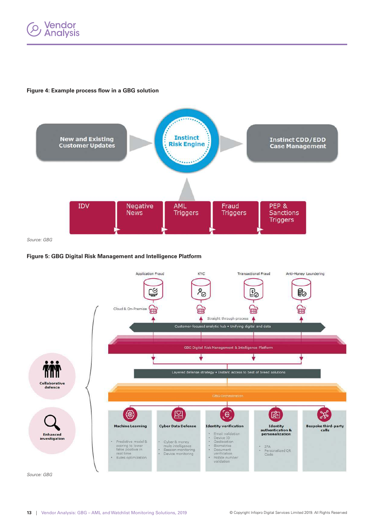<span id="page-12-0"></span>

#### **Figure 4: Example process flow in a GBG solution**



Source: GBG

#### **Figure 5: GBG Digital Risk Management and Intelligence Platform**



Source: GBG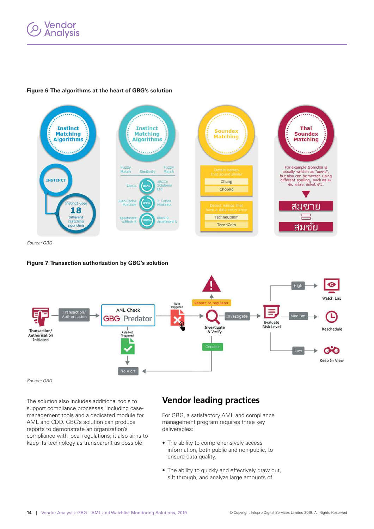# <span id="page-13-0"></span>**Vendor<br>Analysis**



#### **Figure 6: The algorithms at the heart of GBG's solution**

Source: GBG

#### **Figure 7: Transaction authorization by GBG's solution**



Source: GBG

The solution also includes additional tools to support compliance processes, including casemanagement tools and a dedicated module for AML and CDD. GBG's solution can produce reports to demonstrate an organization's compliance with local regulations; it also aims to keep its technology as transparent as possible.

### **Vendor leading practices**

For GBG, a satisfactory AML and compliance management program requires three key deliverables:

- The ability to comprehensively access information, both public and non-public, to ensure data quality.
- The ability to quickly and effectively draw out, sift through, and analyze large amounts of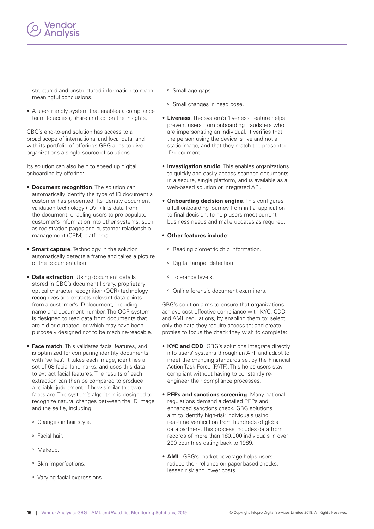

structured and unstructured information to reach meaningful conclusions.

• A user-friendly system that enables a compliance team to access, share and act on the insights.

GBG's end-to-end solution has access to a broad scope of international and local data, and with its portfolio of offerings GBG aims to give organizations a single source of solutions.

Its solution can also help to speed up digital onboarding by offering:

- **Document recognition**. The solution can automatically identify the type of ID document a customer has presented. Its identity document validation technology (IDVT) lifts data from the document, enabling users to pre-populate customer's information into other systems, such as registration pages and customer relationship management (CRM) platforms.
- **Smart capture**. Technology in the solution automatically detects a frame and takes a picture of the documentation.
- **Data extraction**. Using document details stored in GBG's document library, proprietary optical character recognition (OCR) technology recognizes and extracts relevant data points from a customer's ID document, including name and document number. The OCR system is designed to read data from documents that are old or outdated, or which may have been purposely designed not to be machine-readable.
- **Face match**. This validates facial features, and is optimized for comparing identity documents with 'selfies'. It takes each image, identifies a set of 68 facial landmarks, and uses this data to extract facial features. The results of each extraction can then be compared to produce a reliable judgement of how similar the two faces are. The system's algorithm is designed to recognize natural changes between the ID image and the selfie, including:
	- <sup>o</sup> Changes in hair style.
	- <sup>o</sup> Facial hair.
	- <sup>o</sup> Makeup.
	- <sup>o</sup> Skin imperfections.
	- <sup>o</sup> Varying facial expressions.
- <sup>o</sup> Small age gaps.
- <sup>o</sup> Small changes in head pose.
- **Liveness**. The system's 'liveness' feature helps prevent users from onboarding fraudsters who are impersonating an individual. It verifies that the person using the device is live and not a static image, and that they match the presented ID document.
- **Investigation studio**. This enables organizations to quickly and easily access scanned documents in a secure, single platform, and is available as a web-based solution or integrated API.
- **Onboarding decision engine**. This configures a full onboarding journey from initial application to final decision, to help users meet current business needs and make updates as required.
- **Other features include**:
	- <sup>o</sup> Reading biometric chip information.
	- <sup>o</sup> Digital tamper detection.
	- <sup>o</sup> Tolerance levels.
	- <sup>o</sup> Online forensic document examiners.

GBG's solution aims to ensure that organizations achieve cost-effective compliance with KYC, CDD and AML regulations, by enabling them to: select only the data they require access to; and create profiles to focus the check they wish to complete:

- **KYC and CDD**. GBG's solutions integrate directly into users' systems through an API, and adapt to meet the changing standards set by the Financial Action Task Force (FATF). This helps users stay compliant without having to constantly reengineer their compliance processes.
- **PEPs and sanctions screening**. Many national regulations demand a detailed PEPs and enhanced sanctions check. GBG solutions aim to identify high-risk individuals using real-time verification from hundreds of global data partners. This process includes data from records of more than 180,000 individuals in over 200 countries dating back to 1989.
- **AML**. GBG's market coverage helps users reduce their reliance on paper-based checks, lessen risk and lower costs.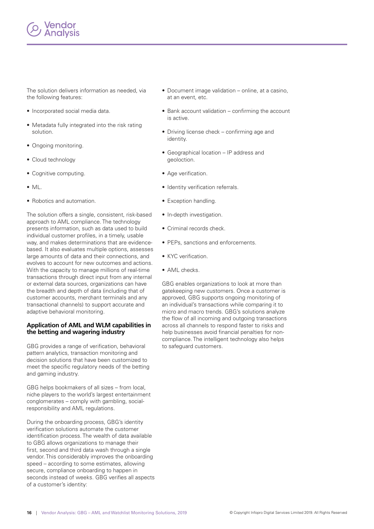

The solution delivers information as needed, via the following features:

- Incorporated social media data.
- Metadata fully integrated into the risk rating solution.
- Ongoing monitoring.
- Cloud technology
- Cognitive computing.
- ML.
- Robotics and automation.

The solution offers a single, consistent, risk-based approach to AML compliance. The technology presents information, such as data used to build individual customer profiles, in a timely, usable way, and makes determinations that are evidencebased. It also evaluates multiple options, assesses large amounts of data and their connections, and evolves to account for new outcomes and actions. With the capacity to manage millions of real-time transactions through direct input from any internal or external data sources, organizations can have the breadth and depth of data (including that of customer accounts, merchant terminals and any transactional channels) to support accurate and adaptive behavioral monitoring.

#### **Application of AML and WLM capabilities in the betting and wagering industry**

GBG provides a range of verification, behavioral pattern analytics, transaction monitoring and decision solutions that have been customized to meet the specific regulatory needs of the betting and gaming industry.

GBG helps bookmakers of all sizes – from local, niche players to the world's largest entertainment conglomerates – comply with gambling, socialresponsibility and AML regulations.

During the onboarding process, GBG's identity verification solutions automate the customer identification process. The wealth of data available to GBG allows organizations to manage their first, second and third data wash through a single vendor. This considerably improves the onboarding speed – according to some estimates, allowing secure, compliance onboarding to happen in seconds instead of weeks. GBG verifies all aspects of a customer's identity:

- Document image validation online, at a casino, at an event, etc.
- Bank account validation confirming the account is active.
- Driving license check confirming age and identity.
- Geographical location IP address and geoloction.
- Age verification.
- Identity verification referrals.
- Exception handling.
- In-depth investigation.
- Criminal records check.
- PEPs, sanctions and enforcements.
- KYC verification.
- AML checks.

GBG enables organizations to look at more than gatekeeping new customers. Once a customer is approved, GBG supports ongoing monitoring of an individual's transactions while comparing it to micro and macro trends. GBG's solutions analyze the flow of all incoming and outgoing transactions across all channels to respond faster to risks and help businesses avoid financial penalties for noncompliance. The intelligent technology also helps to safeguard customers.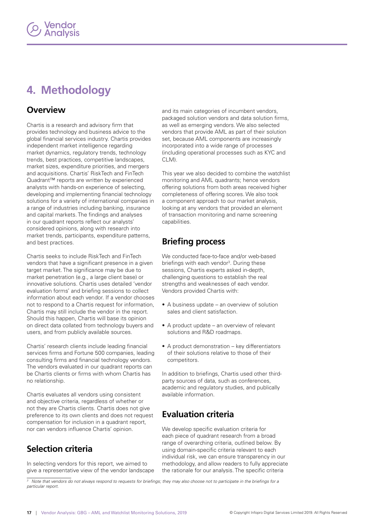# <span id="page-16-0"></span>**4. Methodology**

### **Overview**

Chartis is a research and advisory firm that provides technology and business advice to the global financial services industry. Chartis provides independent market intelligence regarding market dynamics, regulatory trends, technology trends, best practices, competitive landscapes, market sizes, expenditure priorities, and mergers and acquisitions. Chartis' RiskTech and FinTech Quadrant™ reports are written by experienced analysts with hands-on experience of selecting, developing and implementing financial technology solutions for a variety of international companies in a range of industries including banking, insurance and capital markets. The findings and analyses in our quadrant reports reflect our analysts' considered opinions, along with research into market trends, participants, expenditure patterns, and best practices.

Chartis seeks to include RiskTech and FinTech vendors that have a significant presence in a given target market. The significance may be due to market penetration (e.g., a large client base) or innovative solutions. Chartis uses detailed 'vendor evaluation forms' and briefing sessions to collect information about each vendor. If a vendor chooses not to respond to a Chartis request for information, Chartis may still include the vendor in the report. Should this happen, Chartis will base its opinion on direct data collated from technology buyers and users, and from publicly available sources.

Chartis' research clients include leading financial services firms and Fortune 500 companies, leading consulting firms and financial technology vendors. The vendors evaluated in our quadrant reports can be Chartis clients or firms with whom Chartis has no relationship.

Chartis evaluates all vendors using consistent and objective criteria, regardless of whether or not they are Chartis clients. Chartis does not give preference to its own clients and does not request compensation for inclusion in a quadrant report, nor can vendors influence Chartis' opinion.

## **Selection criteria**

In selecting vendors for this report, we aimed to give a representative view of the vendor landscape and its main categories of incumbent vendors, packaged solution vendors and data solution firms, as well as emerging vendors. We also selected vendors that provide AML as part of their solution set, because AML components are increasingly incorporated into a wide range of processes (including operational processes such as KYC and CLM).

This year we also decided to combine the watchlist monitoring and AML quadrants; hence vendors offering solutions from both areas received higher completeness of offering scores. We also took a component approach to our market analysis, looking at any vendors that provided an element of transaction monitoring and name screening capabilities.

## **Briefing process**

We conducted face-to-face and/or web-based briefings with each vendor<sup>3</sup>. During these sessions, Chartis experts asked in-depth, challenging questions to establish the real strengths and weaknesses of each vendor. Vendors provided Chartis with:

- A business update an overview of solution sales and client satisfaction.
- A product update an overview of relevant solutions and R&D roadmaps.
- A product demonstration key differentiators of their solutions relative to those of their competitors.

In addition to briefings, Chartis used other thirdparty sources of data, such as conferences, academic and regulatory studies, and publically available information.

## **Evaluation criteria**

We develop specific evaluation criteria for each piece of quadrant research from a broad range of overarching criteria, outlined below. By using domain-specific criteria relevant to each individual risk, we can ensure transparency in our methodology, and allow readers to fully appreciate the rationale for our analysis. The specific criteria

 $^{\rm 3}$  Note that vendors do not always respond to requests for briefings; they may also choose not to participate in the briefings for a particular report.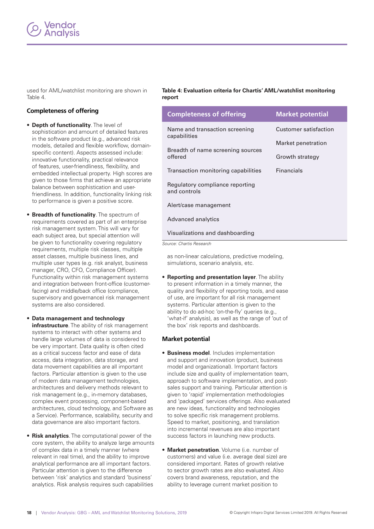<span id="page-17-0"></span>used for AML/watchlist monitoring are shown in Table 4.

#### **Completeness of offering**

- **Depth of functionality**. The level of sophistication and amount of detailed features in the software product (e.g., advanced risk models, detailed and flexible workflow, domainspecific content). Aspects assessed include: innovative functionality, practical relevance of features, user-friendliness, flexibility, and embedded intellectual property. High scores are given to those firms that achieve an appropriate balance between sophistication and userfriendliness. In addition, functionality linking risk to performance is given a positive score.
- **Breadth of functionality**. The spectrum of requirements covered as part of an enterprise risk management system. This will vary for each subject area, but special attention will be given to functionality covering regulatory requirements, multiple risk classes, multiple asset classes, multiple business lines, and multiple user types (e.g. risk analyst, business manager, CRO, CFO, Compliance Officer). Functionality within risk management systems and integration between front-office (customerfacing) and middle/back office (compliance, supervisory and governance) risk management systems are also considered.
- **Data management and technology infrastructure**. The ability of risk management systems to interact with other systems and handle large volumes of data is considered to be very important. Data quality is often cited as a critical success factor and ease of data access, data integration, data storage, and data movement capabilities are all important factors. Particular attention is given to the use of modern data management technologies, architectures and delivery methods relevant to risk management (e.g., in-memory databases, complex event processing, component-based architectures, cloud technology, and Software as a Service). Performance, scalability, security and data governance are also important factors.
- **Risk analytics**. The computational power of the core system, the ability to analyze large amounts of complex data in a timely manner (where relevant in real time), and the ability to improve analytical performance are all important factors. Particular attention is given to the difference between 'risk' analytics and standard 'business' analytics. Risk analysis requires such capabilities

**Table 4: Evaluation criteria for Chartis' AML/watchlist monitoring report**

| <b>Completeness of offering</b>                 | <b>Market potential</b> |
|-------------------------------------------------|-------------------------|
| Name and transaction screening<br>capabilities  | Customer satisfaction   |
| Breadth of name screening sources<br>offered    | Market penetration      |
|                                                 | Growth strategy         |
| Transaction monitoring capabilities             | <b>Financials</b>       |
| Regulatory compliance reporting<br>and controls |                         |
| Alert/case management                           |                         |
| Advanced analytics                              |                         |
| Visualizations and dashboarding                 |                         |

Source: Chartis Research

as non-linear calculations, predictive modeling, simulations, scenario analysis, etc.

• **Reporting and presentation layer**. The ability to present information in a timely manner, the quality and flexibility of reporting tools, and ease of use, are important for all risk management systems. Particular attention is given to the ability to do ad-hoc 'on-the-fly' queries (e.g., 'what-if' analysis), as well as the range of 'out of the box' risk reports and dashboards.

#### **Market potential**

- **Business model**. Includes implementation and support and innovation (product, business model and organizational). Important factors include size and quality of implementation team, approach to software implementation, and postsales support and training. Particular attention is given to 'rapid' implementation methodologies and 'packaged' services offerings. Also evaluated are new ideas, functionality and technologies to solve specific risk management problems. Speed to market, positioning, and translation into incremental revenues are also important success factors in launching new products.
- **Market penetration**. Volume (i.e. number of customers) and value (i.e. average deal size) are considered important. Rates of growth relative to sector growth rates are also evaluated. Also covers brand awareness, reputation, and the ability to leverage current market position to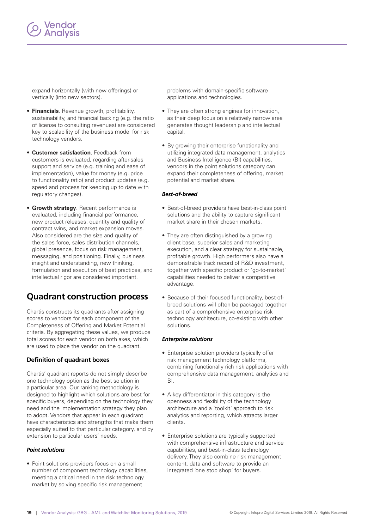

expand horizontally (with new offerings) or vertically (into new sectors).

- **Financials**. Revenue growth, profitability, sustainability, and financial backing (e.g. the ratio of license to consulting revenues) are considered key to scalability of the business model for risk technology vendors.
- **Customer satisfaction**. Feedback from customers is evaluated, regarding after-sales support and service (e.g. training and ease of implementation), value for money (e.g. price to functionality ratio) and product updates (e.g. speed and process for keeping up to date with regulatory changes).
- **Growth strategy**. Recent performance is evaluated, including financial performance, new product releases, quantity and quality of contract wins, and market expansion moves. Also considered are the size and quality of the sales force, sales distribution channels, global presence, focus on risk management, messaging, and positioning. Finally, business insight and understanding, new thinking, formulation and execution of best practices, and intellectual rigor are considered important.

## **Quadrant construction process**

Chartis constructs its quadrants after assigning scores to vendors for each component of the Completeness of Offering and Market Potential criteria. By aggregating these values, we produce total scores for each vendor on both axes, which are used to place the vendor on the quadrant.

#### **Definition of quadrant boxes**

Chartis' quadrant reports do not simply describe one technology option as the best solution in a particular area. Our ranking methodology is designed to highlight which solutions are best for specific buyers, depending on the technology they need and the implementation strategy they plan to adopt. Vendors that appear in each quadrant have characteristics and strengths that make them especially suited to that particular category, and by extension to particular users' needs.

#### *Point solutions*

• Point solutions providers focus on a small number of component technology capabilities, meeting a critical need in the risk technology market by solving specific risk management

problems with domain-specific software applications and technologies.

- They are often strong engines for innovation, as their deep focus on a relatively narrow area generates thought leadership and intellectual capital.
- By growing their enterprise functionality and utilizing integrated data management, analytics and Business Intelligence (BI) capabilities, vendors in the point solutions category can expand their completeness of offering, market potential and market share.

#### *Best-of-breed*

- Best-of-breed providers have best-in-class point solutions and the ability to capture significant market share in their chosen markets.
- They are often distinguished by a growing client base, superior sales and marketing execution, and a clear strategy for sustainable, profitable growth. High performers also have a demonstrable track record of R&D investment, together with specific product or 'go-to-market' capabilities needed to deliver a competitive advantage.
- Because of their focused functionality, best-ofbreed solutions will often be packaged together as part of a comprehensive enterprise risk technology architecture, co-existing with other solutions.

#### *Enterprise solutions*

- Enterprise solution providers typically offer risk management technology platforms, combining functionally rich risk applications with comprehensive data management, analytics and BI.
- A key differentiator in this category is the openness and flexibility of the technology architecture and a 'toolkit' approach to risk analytics and reporting, which attracts larger clients.
- Enterprise solutions are typically supported with comprehensive infrastructure and service capabilities, and best-in-class technology delivery. They also combine risk management content, data and software to provide an integrated 'one stop shop' for buyers.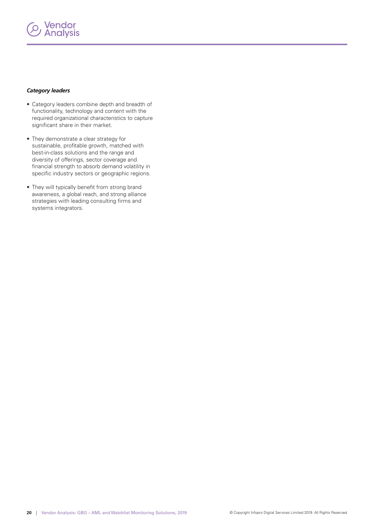# **Vendor<br>Analysis**

#### *Category leaders*

- Category leaders combine depth and breadth of functionality, technology and content with the required organizational characteristics to capture significant share in their market.
- They demonstrate a clear strategy for sustainable, profitable growth, matched with best-in-class solutions and the range and diversity of offerings, sector coverage and financial strength to absorb demand volatility in specific industry sectors or geographic regions.
- They will typically benefit from strong brand awareness, a global reach, and strong alliance strategies with leading consulting firms and systems integrators.